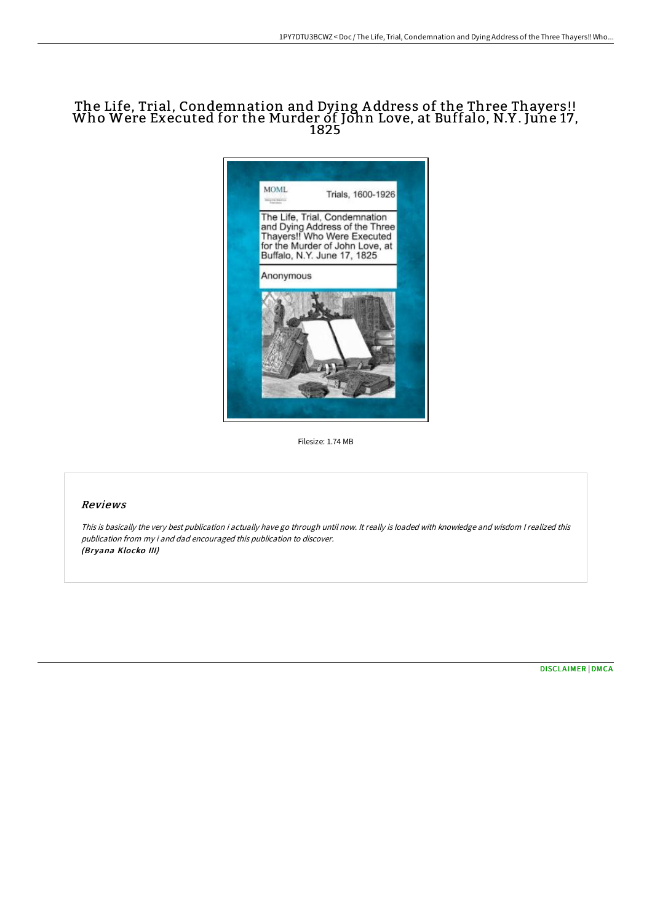# The Life, Trial, Condemnation and Dying A ddress of the Three Thayers!! Who Were Executed for the Murder of John Love, at Buffalo, N.Y . June 17, 1825



Filesize: 1.74 MB

## Reviews

This is basically the very best publication i actually have go through until now. It really is loaded with knowledge and wisdom I realized this publication from my i and dad encouraged this publication to discover. (Bryana Klocko III)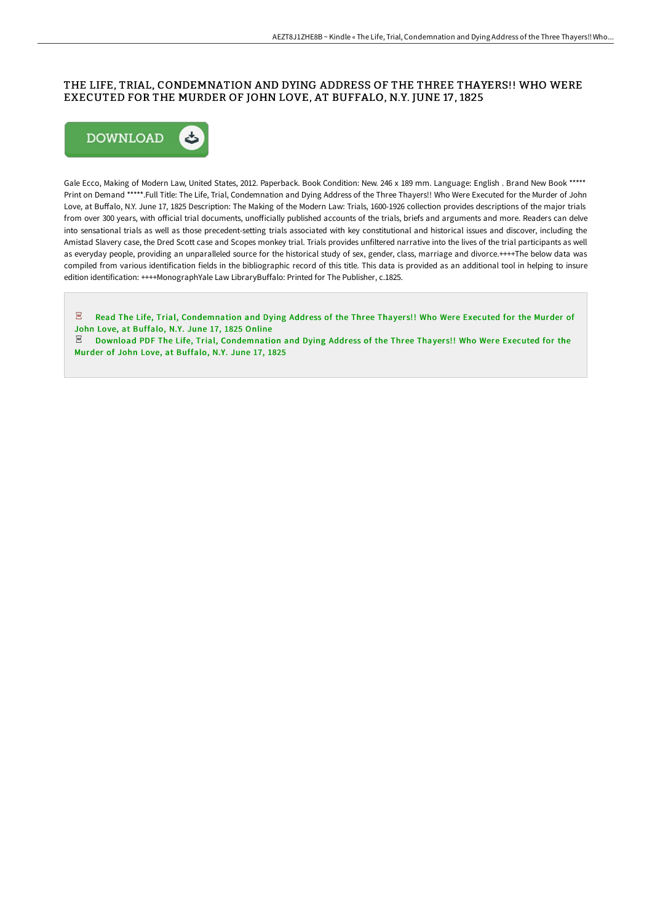## THE LIFE, TRIAL, CONDEMNATION AND DYING ADDRESS OF THE THREE THAYERS!! WHO WERE EXECUTED FOR THE MURDER OF JOHN LOVE, AT BUFFALO, N.Y. JUNE 17 , 1825



Gale Ecco, Making of Modern Law, United States, 2012. Paperback. Book Condition: New. 246 x 189 mm. Language: English . Brand New Book \*\*\*\*\* Print on Demand \*\*\*\*\*.Full Title: The Life, Trial, Condemnation and Dying Address of the Three Thayers!! Who Were Executed for the Murder of John Love, at Buffalo, N.Y. June 17, 1825 Description: The Making of the Modern Law: Trials, 1600-1926 collection provides descriptions of the major trials from over 300 years, with official trial documents, unofficially published accounts of the trials, briefs and arguments and more. Readers can delve into sensational trials as well as those precedent-setting trials associated with key constitutional and historical issues and discover, including the Amistad Slavery case, the Dred Scott case and Scopes monkey trial. Trials provides unfiltered narrative into the lives of the trial participants as well as everyday people, providing an unparalleled source for the historical study of sex, gender, class, marriage and divorce.++++The below data was compiled from various identification fields in the bibliographic record of this title. This data is provided as an additional tool in helping to insure edition identification: ++++MonographYale Law LibraryBuffalo: Printed for The Publisher, c.1825.

 $\overline{\mathbf{P}^{\text{RF}}}$ Read The Life, Trial, [Condemnation](http://techno-pub.tech/the-life-trial-condemnation-and-dying-address-of.html) and Dying Address of the Three Thayers!! Who Were Executed for the Murder of John Love, at Buffalo, N.Y. June 17, 1825 Online

 $\Xi$  Download PDF The Life, Trial, [Condemnation](http://techno-pub.tech/the-life-trial-condemnation-and-dying-address-of.html) and Dying Address of the Three Thayers!! Who Were Executed for the Murder of John Love, at Buffalo, N.Y. June 17, 1825